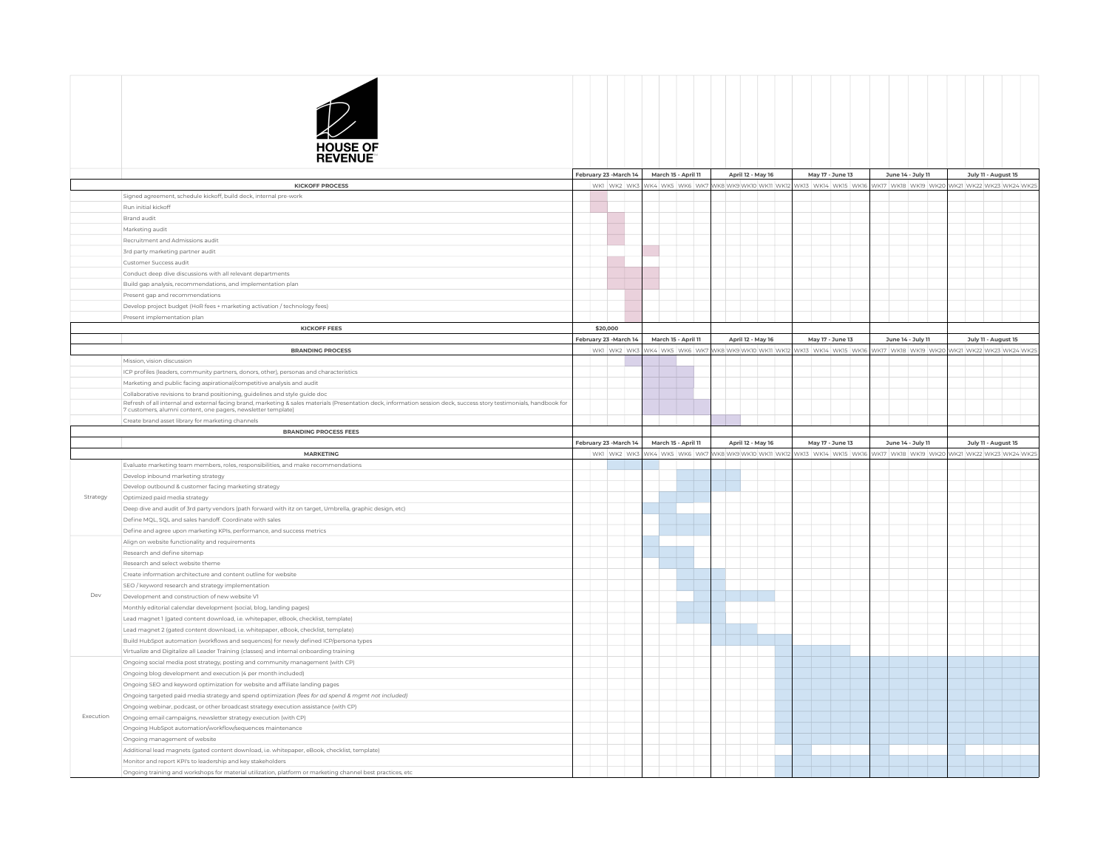

|           |                                                                                                                                                                                                                                                       | February 23 -March 14  |             |  | March 15 - April 11         | April 12 - May 16      | May 17 - June 13    |                                                                  | June 14 - July 11 | July 11 - August 15 |                                                                  |
|-----------|-------------------------------------------------------------------------------------------------------------------------------------------------------------------------------------------------------------------------------------------------------|------------------------|-------------|--|-----------------------------|------------------------|---------------------|------------------------------------------------------------------|-------------------|---------------------|------------------------------------------------------------------|
|           | <b>KICKOFF PROCESS</b>                                                                                                                                                                                                                                |                        | WKI WK2 WK3 |  | NK4 WK5 WK6 WK7             | WK8 WK9 WK10 WK11 WK1  | NKI3 WKI4 WKI5 WKI6 |                                                                  |                   |                     | WK17 WK18 WK19 WK20 WK21 WK22 WK23 WK24 WK25                     |
|           | Signed agreement, schedule kickoff, build deck, internal pre-work                                                                                                                                                                                     |                        |             |  |                             |                        |                     |                                                                  |                   |                     |                                                                  |
|           | Run initial kickoff                                                                                                                                                                                                                                   |                        |             |  |                             |                        |                     |                                                                  |                   |                     |                                                                  |
|           | Brand audit                                                                                                                                                                                                                                           |                        |             |  |                             |                        |                     |                                                                  |                   |                     |                                                                  |
|           | Marketing audit                                                                                                                                                                                                                                       |                        |             |  |                             |                        |                     |                                                                  |                   |                     |                                                                  |
|           | Recruitment and Admissions audit                                                                                                                                                                                                                      |                        |             |  |                             |                        |                     |                                                                  |                   |                     |                                                                  |
|           | 3rd party marketing partner audit                                                                                                                                                                                                                     |                        |             |  |                             |                        |                     |                                                                  |                   |                     |                                                                  |
|           | Customer Success audit                                                                                                                                                                                                                                |                        |             |  |                             |                        |                     |                                                                  |                   |                     |                                                                  |
|           | Conduct deep dive discussions with all relevant departments                                                                                                                                                                                           |                        |             |  |                             |                        |                     |                                                                  |                   |                     |                                                                  |
|           | Build gap analysis, recommendations, and implementation plan                                                                                                                                                                                          |                        |             |  |                             |                        |                     |                                                                  |                   |                     |                                                                  |
|           | Present gap and recommendations                                                                                                                                                                                                                       |                        |             |  |                             |                        |                     |                                                                  |                   |                     |                                                                  |
|           | Develop project budget (HoR fees + marketing activation / technology fees)                                                                                                                                                                            |                        |             |  |                             |                        |                     |                                                                  |                   |                     |                                                                  |
|           | Present implementation plan                                                                                                                                                                                                                           |                        |             |  |                             |                        |                     |                                                                  |                   |                     |                                                                  |
|           | <b>KICKOFF FEES</b>                                                                                                                                                                                                                                   |                        | \$20,000    |  |                             |                        |                     |                                                                  |                   |                     |                                                                  |
|           |                                                                                                                                                                                                                                                       | February 23 -March 14  |             |  | March 15 - April 11         | April 12 - May 16      | May 17 - June 13    |                                                                  | June 14 - July 11 | July 11 - August 15 |                                                                  |
|           | <b>BRANDING PROCESS</b>                                                                                                                                                                                                                               |                        |             |  | WKI WK2 WK3 WK4 WK5 WK6 WK7 | WK8 WK9 WK10 WK11 WK12 |                     | NK13 WK14 WK15 WK16 WK17 WK18 WK19 WK20 WK21 WK22 WK23 WK24 WK29 |                   |                     |                                                                  |
|           | Mission vision discussion                                                                                                                                                                                                                             |                        |             |  |                             |                        |                     |                                                                  |                   |                     |                                                                  |
|           |                                                                                                                                                                                                                                                       |                        |             |  |                             |                        |                     |                                                                  |                   |                     |                                                                  |
|           | ICP profiles (leaders, community partners, donors, other), personas and characteristics                                                                                                                                                               |                        |             |  |                             |                        |                     |                                                                  |                   |                     |                                                                  |
|           | Marketing and public facing aspirational/competitive analysis and audit                                                                                                                                                                               |                        |             |  |                             |                        |                     |                                                                  |                   |                     |                                                                  |
|           | Collaborative revisions to brand positioning, guidelines and style guide doc<br>Refresh of all internal and external facing brand, marketing & sales materials (Presentation deck, information session deck, success story testimonials, handbook for |                        |             |  |                             |                        |                     |                                                                  |                   |                     |                                                                  |
|           | 7 customers, alumni content, one pagers, newsletter template)                                                                                                                                                                                         |                        |             |  |                             |                        |                     |                                                                  |                   |                     |                                                                  |
|           | Create brand asset library for marketing channels                                                                                                                                                                                                     |                        |             |  |                             |                        |                     |                                                                  |                   |                     |                                                                  |
|           | <b>BRANDING PROCESS FEES</b>                                                                                                                                                                                                                          |                        |             |  |                             |                        |                     |                                                                  |                   |                     |                                                                  |
|           |                                                                                                                                                                                                                                                       | February 23 - March 14 |             |  | March 15 - April 11         | April 12 - May 16      | May 17 - June 13    |                                                                  | June 14 - July 11 | July 11 - August 15 |                                                                  |
|           | <b>MARKETING</b>                                                                                                                                                                                                                                      |                        |             |  | WKI WK2 WK3 WK4 WK5 WK6 WK7 | WK8 WK9 WK10 WK11 WK12 |                     |                                                                  |                   |                     | WK13 WK14 WK15 WK16 WK17 WK18 WK19 WK20 WK21 WK22 WK23 WK24 WK25 |
|           | Evaluate marketing team members, roles, responsibilities, and make recommendations                                                                                                                                                                    |                        |             |  |                             |                        |                     |                                                                  |                   |                     |                                                                  |
|           | Develop inbound marketing strategy                                                                                                                                                                                                                    |                        |             |  |                             |                        |                     |                                                                  |                   |                     |                                                                  |
|           | Develop outbound & customer facing marketing strategy                                                                                                                                                                                                 |                        |             |  |                             |                        |                     |                                                                  |                   |                     |                                                                  |
| Strategy  | Optimized paid media strategy                                                                                                                                                                                                                         |                        |             |  |                             |                        |                     |                                                                  |                   |                     |                                                                  |
|           | Deep dive and audit of 3rd party vendors (path forward with itz on target, Umbrella, graphic design, etc)                                                                                                                                             |                        |             |  |                             |                        |                     |                                                                  |                   |                     |                                                                  |
|           | Define MQL, SQL and sales handoff. Coordinate with sales                                                                                                                                                                                              |                        |             |  |                             |                        |                     |                                                                  |                   |                     |                                                                  |
|           | Define and agree upon marketing KPIs, performance, and success metrics                                                                                                                                                                                |                        |             |  |                             |                        |                     |                                                                  |                   |                     |                                                                  |
|           | Align on website functionality and requirements                                                                                                                                                                                                       |                        |             |  |                             |                        |                     |                                                                  |                   |                     |                                                                  |
|           | Research and define sitemap                                                                                                                                                                                                                           |                        |             |  |                             |                        |                     |                                                                  |                   |                     |                                                                  |
|           | Research and select website theme                                                                                                                                                                                                                     |                        |             |  |                             |                        |                     |                                                                  |                   |                     |                                                                  |
| Dev       | Create information architecture and content outline for website                                                                                                                                                                                       |                        |             |  |                             |                        |                     |                                                                  |                   |                     |                                                                  |
|           | SEO / keyword research and strategy implementation                                                                                                                                                                                                    |                        |             |  |                             |                        |                     |                                                                  |                   |                     |                                                                  |
|           | Development and construction of new website V1                                                                                                                                                                                                        |                        |             |  |                             |                        |                     |                                                                  |                   |                     |                                                                  |
|           | Monthly editorial calendar development (social, blog, landing pages)                                                                                                                                                                                  |                        |             |  |                             |                        |                     |                                                                  |                   |                     |                                                                  |
|           | Lead magnet 1 (gated content download, i.e. whitepaper, eBook, checklist, template)                                                                                                                                                                   |                        |             |  |                             |                        |                     |                                                                  |                   |                     |                                                                  |
|           | Lead magnet 2 (gated content download, i.e. whitepaper, eBook, checklist, template)                                                                                                                                                                   |                        |             |  |                             |                        |                     |                                                                  |                   |                     |                                                                  |
|           | Build HubSpot automation (workflows and sequences) for newly defined ICP/persona types                                                                                                                                                                |                        |             |  |                             |                        |                     |                                                                  |                   |                     |                                                                  |
|           | Virtualize and Digitalize all Leader Training (classes) and internal onboarding training                                                                                                                                                              |                        |             |  |                             |                        |                     |                                                                  |                   |                     |                                                                  |
|           | Ongoing social media post strategy, posting and community management (with CP)                                                                                                                                                                        |                        |             |  |                             |                        |                     |                                                                  |                   |                     |                                                                  |
| Execution | Ongoing blog development and execution (4 per month included)                                                                                                                                                                                         |                        |             |  |                             |                        |                     |                                                                  |                   |                     |                                                                  |
|           | Ongoing SEO and keyword optimization for website and affiliate landing pages                                                                                                                                                                          |                        |             |  |                             |                        |                     |                                                                  |                   |                     |                                                                  |
|           |                                                                                                                                                                                                                                                       |                        |             |  |                             |                        |                     |                                                                  |                   |                     |                                                                  |
|           | Ongoing targeted paid media strategy and spend optimization (fees for ad spend & mgmt not included)                                                                                                                                                   |                        |             |  |                             |                        |                     |                                                                  |                   |                     |                                                                  |
|           | Ongoing webinar, podcast, or other broadcast strategy execution assistance (with CP)                                                                                                                                                                  |                        |             |  |                             |                        |                     |                                                                  |                   |                     |                                                                  |
|           | Ongoing email campaigns, newsletter strategy execution (with CP)                                                                                                                                                                                      |                        |             |  |                             |                        |                     |                                                                  |                   |                     |                                                                  |
|           | Ongoing HubSpot automation/workflow/sequences maintenance                                                                                                                                                                                             |                        |             |  |                             |                        |                     |                                                                  |                   |                     |                                                                  |
|           | Ongoing management of website                                                                                                                                                                                                                         |                        |             |  |                             |                        |                     |                                                                  |                   |                     |                                                                  |
|           | Additional lead magnets (gated content download, i.e. whitepaper, eBook, checklist, template)                                                                                                                                                         |                        |             |  |                             |                        |                     |                                                                  |                   |                     |                                                                  |
|           | Monitor and report KPI's to leadership and key stakeholders                                                                                                                                                                                           |                        |             |  |                             |                        |                     |                                                                  |                   |                     |                                                                  |
|           | Ongoing training and workshops for material utilization, platform or marketing channel best practices, etc                                                                                                                                            |                        |             |  |                             |                        |                     |                                                                  |                   |                     |                                                                  |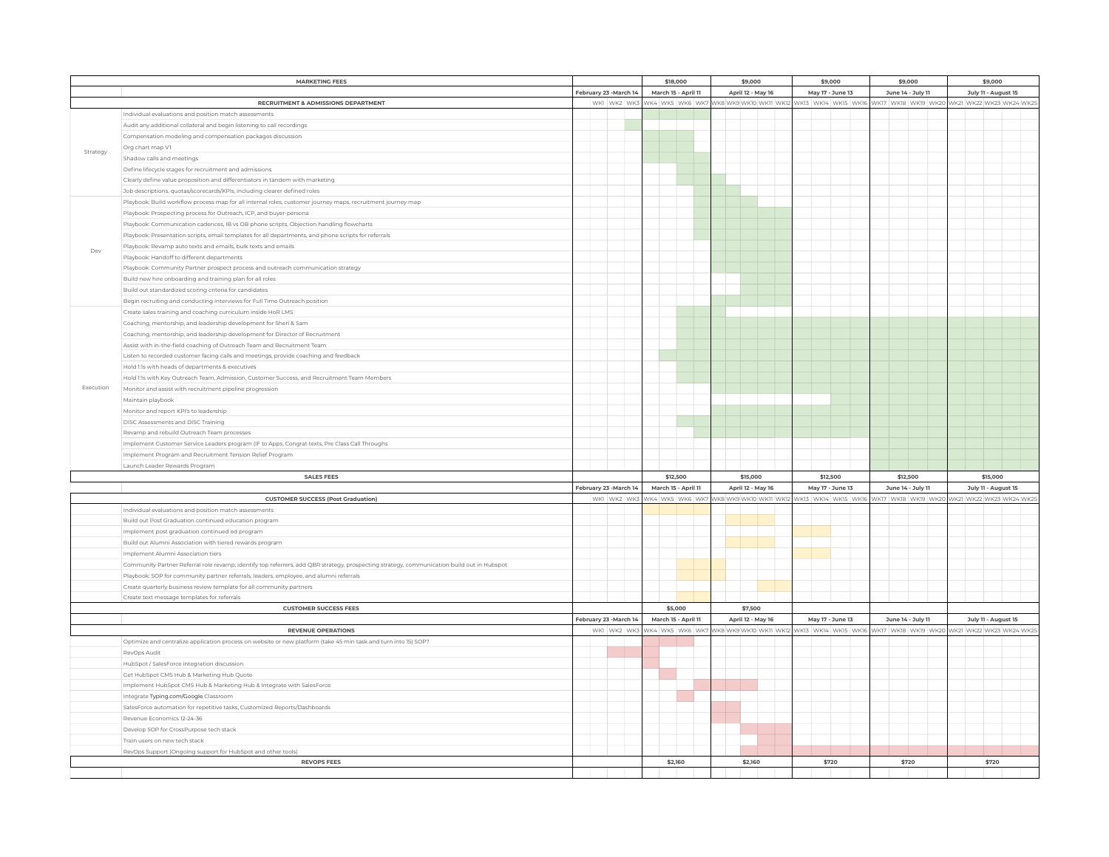|           | <b>MARKETING FEES</b>                                                                                                                      |  | \$18,000                                              |             |                   | \$9,000           |                  |                  |          |                   | \$9,000                                                          |                     | \$9,000             | \$9,000                                                                                                      |  |       |       |  |
|-----------|--------------------------------------------------------------------------------------------------------------------------------------------|--|-------------------------------------------------------|-------------|-------------------|-------------------|------------------|------------------|----------|-------------------|------------------------------------------------------------------|---------------------|---------------------|--------------------------------------------------------------------------------------------------------------|--|-------|-------|--|
|           |                                                                                                                                            |  | February 23 -March 14<br>March 15 - April 11          |             | April 12 - May 16 |                   | May 17 - June 13 |                  |          | June 14 - July 11 |                                                                  | July 11 - August 15 |                     |                                                                                                              |  |       |       |  |
|           | RECRUITMENT & ADMISSIONS DEPARTMENT                                                                                                        |  |                                                       | WK1 WK2 WK3 |                   |                   |                  |                  |          |                   |                                                                  |                     |                     | WK4 WK5 WK6 WK7 WK8 WK9 WK10 WK11 WK12 WK13 WK14 WK15 WK16 WK16 WK17 WK18 WK19 WK20 WK21 WK22 WK23 WK24 WK25 |  |       |       |  |
|           | Individual evaluations and position match assessments                                                                                      |  |                                                       |             |                   |                   |                  |                  |          |                   |                                                                  |                     |                     |                                                                                                              |  |       |       |  |
| Strategy  | Audit any additional collateral and begin listening to call recordings                                                                     |  |                                                       |             |                   |                   |                  |                  |          |                   |                                                                  |                     |                     |                                                                                                              |  |       |       |  |
|           | Compensation modeling and compensation packages discussion                                                                                 |  |                                                       |             |                   |                   |                  |                  |          |                   |                                                                  |                     |                     |                                                                                                              |  |       |       |  |
|           | Org chart map V1                                                                                                                           |  |                                                       |             |                   |                   |                  |                  |          |                   |                                                                  |                     |                     |                                                                                                              |  |       |       |  |
|           | Shadow calls and meetings                                                                                                                  |  |                                                       |             |                   |                   |                  |                  |          |                   |                                                                  |                     |                     |                                                                                                              |  |       |       |  |
|           | Define lifecycle stages for recruitment and admissions                                                                                     |  |                                                       |             |                   |                   |                  |                  |          |                   |                                                                  |                     |                     |                                                                                                              |  |       |       |  |
|           | Clearly define value proposition and differentiators in tandem with marketing                                                              |  |                                                       |             |                   |                   |                  |                  |          |                   |                                                                  |                     |                     |                                                                                                              |  |       |       |  |
|           | Job descriptions, quotas/scorecards/KPIs, including clearer defined roles                                                                  |  |                                                       |             |                   |                   |                  |                  |          |                   |                                                                  |                     |                     |                                                                                                              |  |       |       |  |
|           | Playbook: Build workflow process map for all internal roles, customer journey maps, recruitment journey map                                |  |                                                       |             |                   |                   |                  |                  |          |                   |                                                                  |                     |                     |                                                                                                              |  |       |       |  |
|           | Playbook: Prospecting process for Outreach, ICP, and buyer-persona                                                                         |  |                                                       |             |                   |                   |                  |                  |          |                   |                                                                  |                     |                     |                                                                                                              |  |       |       |  |
|           | Playbook: Communication cadences, IB vs OB phone scripts, Objection handling flowcharts                                                    |  |                                                       |             |                   |                   |                  |                  |          |                   |                                                                  |                     |                     |                                                                                                              |  |       |       |  |
|           | Playbook: Presentation scripts, email templates for all departments, and phone scripts for referrals                                       |  |                                                       |             |                   |                   |                  |                  |          |                   |                                                                  |                     |                     |                                                                                                              |  |       |       |  |
| Dev       | Playbook: Revamp auto texts and emails, bulk texts and emails                                                                              |  |                                                       |             |                   |                   |                  |                  |          |                   |                                                                  |                     |                     |                                                                                                              |  |       |       |  |
|           | Playbook: Handoff to different departments                                                                                                 |  |                                                       |             |                   |                   |                  |                  |          |                   |                                                                  |                     |                     |                                                                                                              |  |       |       |  |
|           | Playbook: Community Partner prospect process and outreach communication strategy                                                           |  |                                                       |             |                   |                   |                  |                  |          |                   |                                                                  |                     |                     |                                                                                                              |  |       |       |  |
|           | Build new hire onboarding and training plan for all roles                                                                                  |  |                                                       |             |                   |                   |                  |                  |          |                   |                                                                  |                     |                     |                                                                                                              |  |       |       |  |
|           | Build out standardized scoring criteria for candidates                                                                                     |  |                                                       |             |                   |                   |                  |                  |          |                   |                                                                  |                     |                     |                                                                                                              |  |       |       |  |
|           | Begin recruiting and conducting interviews for Full Time Outreach position                                                                 |  |                                                       |             |                   |                   |                  |                  |          |                   |                                                                  |                     |                     |                                                                                                              |  |       |       |  |
|           | Create sales training and coaching curriculum inside HoR LMS                                                                               |  |                                                       |             |                   |                   |                  |                  |          |                   |                                                                  |                     |                     |                                                                                                              |  |       |       |  |
|           | Coaching, mentorship, and leadership development for Sheri & Sam                                                                           |  |                                                       |             |                   |                   |                  |                  |          |                   |                                                                  |                     |                     |                                                                                                              |  |       |       |  |
|           | Coaching, mentorship, and leadership development for Director of Recruitment                                                               |  |                                                       |             |                   |                   |                  |                  |          |                   |                                                                  |                     |                     |                                                                                                              |  |       |       |  |
|           | Assist with in-the-field coaching of Outreach Team and Recruitment Team                                                                    |  |                                                       |             |                   |                   |                  |                  |          |                   |                                                                  |                     |                     |                                                                                                              |  |       |       |  |
|           | Listen to recorded customer facing calls and meetings, provide coaching and feedback                                                       |  |                                                       |             |                   |                   |                  |                  |          |                   |                                                                  |                     |                     |                                                                                                              |  |       |       |  |
| Execution | Hold 1:1s with heads of departments & executives                                                                                           |  |                                                       |             |                   |                   |                  |                  |          |                   |                                                                  |                     |                     |                                                                                                              |  |       |       |  |
|           | Hold 1:1s with Key Outreach Team, Admission, Customer Success, and Recruitment Team Members                                                |  |                                                       |             |                   |                   |                  |                  |          |                   |                                                                  |                     |                     |                                                                                                              |  |       |       |  |
|           | Monitor and assist with recruitment pipeline progression                                                                                   |  |                                                       |             |                   |                   |                  |                  |          |                   |                                                                  |                     |                     |                                                                                                              |  |       |       |  |
|           | Maintain playbook                                                                                                                          |  |                                                       |             |                   |                   |                  |                  |          |                   |                                                                  |                     |                     |                                                                                                              |  |       |       |  |
|           | Monitor and report KPI's to leadership                                                                                                     |  |                                                       |             |                   |                   |                  |                  |          |                   |                                                                  |                     |                     |                                                                                                              |  |       |       |  |
|           | DISC Assessments and DISC Training                                                                                                         |  |                                                       |             |                   |                   |                  |                  |          |                   |                                                                  |                     |                     |                                                                                                              |  |       |       |  |
|           | Revamp and rebuild Outreach Team processes                                                                                                 |  |                                                       |             |                   |                   |                  |                  |          |                   |                                                                  |                     |                     |                                                                                                              |  |       |       |  |
|           | Implement Customer Service Leaders program (IF to Apps, Congrat texts, Pre Class Call Throughs                                             |  |                                                       |             |                   |                   |                  |                  |          |                   |                                                                  |                     |                     |                                                                                                              |  |       |       |  |
|           | Implement Program and Recruitment Tension Relief Program                                                                                   |  |                                                       |             |                   |                   |                  |                  |          |                   |                                                                  |                     |                     |                                                                                                              |  |       |       |  |
|           | Launch Leader Rewards Program                                                                                                              |  |                                                       |             |                   |                   |                  |                  |          |                   |                                                                  |                     |                     |                                                                                                              |  |       |       |  |
|           | <b>SALES FEES</b>                                                                                                                          |  |                                                       |             | \$12,500          |                   | \$15,000         |                  | \$12,500 |                   | \$12,500                                                         |                     | \$15,000            |                                                                                                              |  |       |       |  |
|           |                                                                                                                                            |  | February 23 -March 14<br>March 15 - April 11          |             |                   | April 12 - May 16 |                  | May 17 - June 13 |          |                   | June 14 - July 11                                                |                     | July 11 - August 15 |                                                                                                              |  |       |       |  |
|           | <b>CUSTOMER SUCCESS (Post Graduation)</b>                                                                                                  |  | WK1 WK2 WK3<br>WK4 WK5 WK6 WK7 WK8 WK9 WK10 WK11 WK12 |             |                   |                   |                  |                  |          |                   | WK13 WK14 WK15 WK16 WK17 WK18 WK19 WK20 WK21 WK22 WK23 WK24 WK25 |                     |                     |                                                                                                              |  |       |       |  |
|           | Individual evaluations and position match assessments                                                                                      |  |                                                       |             |                   |                   |                  |                  |          |                   |                                                                  |                     |                     |                                                                                                              |  |       |       |  |
|           | Build out Post Graduation continued education program                                                                                      |  |                                                       |             |                   |                   |                  |                  |          |                   |                                                                  |                     |                     |                                                                                                              |  |       |       |  |
|           | Implement post graduation continued ed program                                                                                             |  |                                                       |             |                   |                   |                  |                  |          |                   |                                                                  |                     |                     |                                                                                                              |  |       |       |  |
|           | Build out Alumni Association with tiered rewards program                                                                                   |  |                                                       |             |                   |                   |                  |                  |          |                   |                                                                  |                     |                     |                                                                                                              |  |       |       |  |
|           | Implement Alumni Association tiers                                                                                                         |  |                                                       |             |                   |                   |                  |                  |          |                   |                                                                  |                     |                     |                                                                                                              |  |       |       |  |
|           | Community Partner Referral role revamp, identify top referrers, add QBR strategy, prospecting strategy, communication build out in Hubspot |  |                                                       |             |                   |                   |                  |                  |          |                   |                                                                  |                     |                     |                                                                                                              |  |       |       |  |
|           | Playbook: SOP for community partner referrals, leaders, employee, and alumni referrals                                                     |  |                                                       |             |                   |                   |                  |                  |          |                   |                                                                  |                     |                     |                                                                                                              |  |       |       |  |
|           | Create quarterly business review template for all community partners                                                                       |  |                                                       |             |                   |                   |                  |                  |          |                   |                                                                  |                     |                     |                                                                                                              |  |       |       |  |
|           | Create text message templates for referrals                                                                                                |  |                                                       |             |                   |                   |                  |                  |          |                   |                                                                  |                     |                     |                                                                                                              |  |       |       |  |
|           | <b>CUSTOMER SUCCESS FEES</b>                                                                                                               |  |                                                       |             |                   |                   | \$5,000          |                  |          | \$7,500           |                                                                  |                     |                     |                                                                                                              |  |       |       |  |
|           |                                                                                                                                            |  | February 23 -March 14<br>March 15 - April 11          |             | April 12 - May 16 |                   | May 17 - June 13 |                  |          | June 14 - July 11 |                                                                  | July 11 - August 15 |                     |                                                                                                              |  |       |       |  |
|           | <b>REVENUE OPERATIONS</b>                                                                                                                  |  |                                                       | WK1 WK2 WK3 |                   |                   |                  |                  |          |                   |                                                                  |                     |                     | WK4 WK5 WK6 WK7 WK8 WK9 WK10 WK11 WK12 WK13 WK14 WK15 WK16 WK17 WK18 WK19 WK20 WK21 WK22 WK23 WK24 WK25      |  |       |       |  |
|           | Optimize and centralize application process on website or new platform (take 45 min task and turn into 15) SOP?                            |  |                                                       |             |                   |                   |                  |                  |          |                   |                                                                  |                     |                     |                                                                                                              |  |       |       |  |
|           | RevOps Audit                                                                                                                               |  |                                                       |             |                   |                   |                  |                  |          |                   |                                                                  |                     |                     |                                                                                                              |  |       |       |  |
|           | HubSpot / SalesForce integration discussion                                                                                                |  |                                                       |             |                   |                   |                  |                  |          |                   |                                                                  |                     |                     |                                                                                                              |  |       |       |  |
|           | Get HubSpot CMS Hub & Marketing Hub Quote                                                                                                  |  |                                                       |             |                   |                   |                  |                  |          |                   |                                                                  |                     |                     |                                                                                                              |  |       |       |  |
|           | Implement HubSpot CMS Hub & Marketing Hub & Integrate with SalesForce                                                                      |  |                                                       |             |                   |                   |                  |                  |          |                   |                                                                  |                     |                     |                                                                                                              |  |       |       |  |
|           | Integrate Typing.com/Google Classroom                                                                                                      |  |                                                       |             |                   |                   |                  |                  |          |                   |                                                                  |                     |                     |                                                                                                              |  |       |       |  |
|           | SalesForce automation for repetitive tasks, Customized Reports/Dashboards                                                                  |  |                                                       |             |                   |                   |                  |                  |          |                   |                                                                  |                     |                     |                                                                                                              |  |       |       |  |
|           | Revenue Economics 12-24-36                                                                                                                 |  |                                                       |             |                   |                   |                  |                  |          |                   |                                                                  |                     |                     |                                                                                                              |  |       |       |  |
|           | Develop SOP for CrossPurpose tech stack                                                                                                    |  |                                                       |             |                   |                   |                  |                  |          |                   |                                                                  |                     |                     |                                                                                                              |  |       |       |  |
|           | Train users on new tech stack                                                                                                              |  |                                                       |             |                   |                   |                  |                  |          |                   |                                                                  |                     |                     |                                                                                                              |  |       |       |  |
|           | RevOps Support (Ongoing support for HubSpot and other tools)                                                                               |  |                                                       |             |                   |                   |                  |                  |          |                   |                                                                  |                     |                     |                                                                                                              |  |       |       |  |
|           | <b>REVOPS FEES</b>                                                                                                                         |  |                                                       |             |                   |                   | \$2,160          |                  |          | \$2,160           |                                                                  |                     |                     | \$720                                                                                                        |  | \$720 | \$720 |  |
|           |                                                                                                                                            |  |                                                       |             |                   |                   |                  |                  |          |                   |                                                                  |                     |                     |                                                                                                              |  |       |       |  |